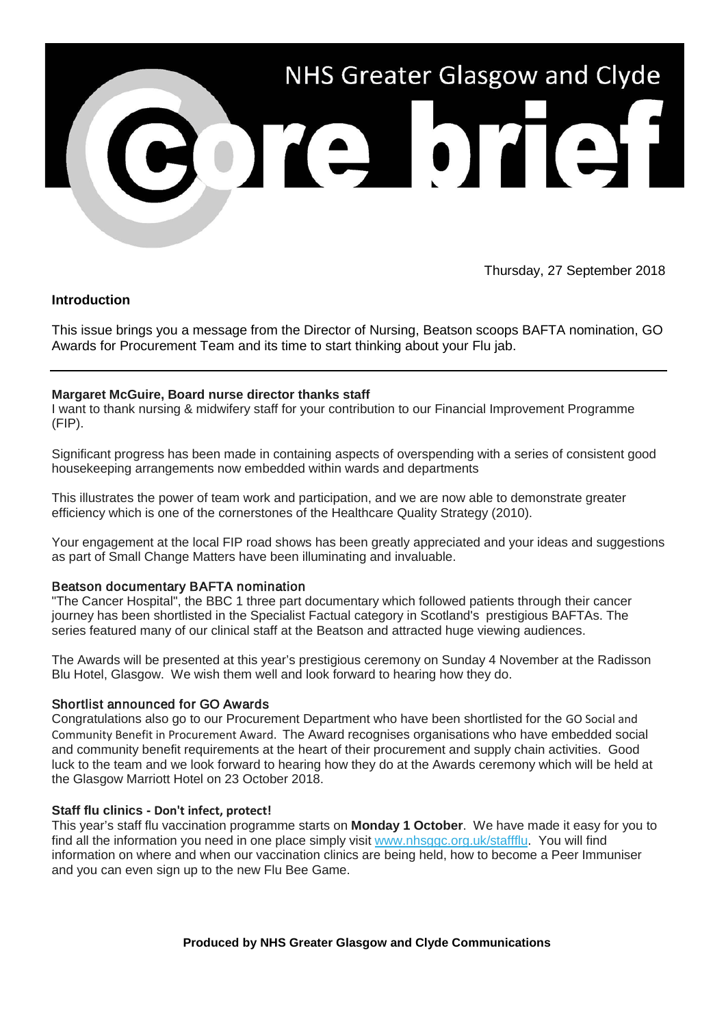

Thursday, 27 September 2018

# **Introduction**

This issue brings you a message from the Director of Nursing, Beatson scoops BAFTA nomination, GO Awards for Procurement Team and its time to start thinking about your Flu jab.

# **Margaret McGuire, Board nurse director thanks staff**

I want to thank nursing & midwifery staff for your contribution to our Financial Improvement Programme (FIP).

Significant progress has been made in containing aspects of overspending with a series of consistent good housekeeping arrangements now embedded within wards and departments

This illustrates the power of team work and participation, and we are now able to demonstrate greater efficiency which is one of the cornerstones of the Healthcare Quality Strategy (2010).

Your engagement at the local FIP road shows has been greatly appreciated and your ideas and suggestions as part of Small Change Matters have been illuminating and invaluable.

## Beatson documentary BAFTA nomination

"The Cancer Hospital", the BBC 1 three part documentary which followed patients through their cancer journey has been shortlisted in the Specialist Factual category in Scotland's prestigious BAFTAs. The series featured many of our clinical staff at the Beatson and attracted huge viewing audiences.

The Awards will be presented at this year's prestigious ceremony on Sunday 4 November at the Radisson Blu Hotel, Glasgow. We wish them well and look forward to hearing how they do.

## Shortlist announced for GO Awards

Congratulations also go to our Procurement Department who have been shortlisted for the GO Social and Community Benefit in Procurement Award. The Award recognises organisations who have embedded social and community benefit requirements at the heart of their procurement and supply chain activities. Good luck to the team and we look forward to hearing how they do at the Awards ceremony which will be held at the Glasgow Marriott Hotel on 23 October 2018.

## **Staff flu clinics - Don't infect, protect!**

This year's staff flu vaccination programme starts on **Monday 1 October**. We have made it easy for you to find all the information you need in one place simply visit [www.nhsggc.org.uk/staffflu.](https://nhsggc.us12.list-manage.com/track/click?u=0f385b5aea37eaf0213bd19fb&id=837c756edc&e=5af5e1832c) You will find information on where and when our vaccination clinics are being held, how to become a Peer Immuniser and you can even sign up to the new Flu Bee Game.